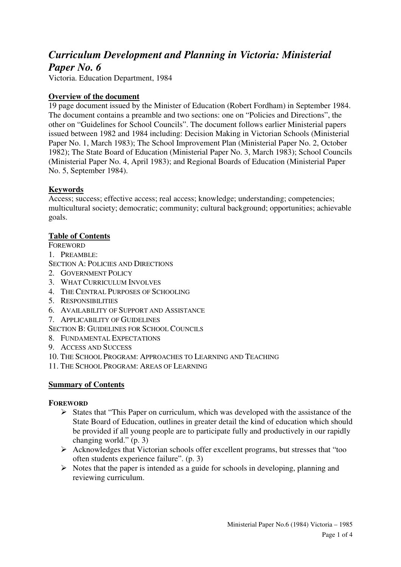# *Curriculum Development and Planning in Victoria: Ministerial Paper No. 6*

Victoria. Education Department, 1984

# **Overview of the document**

19 page document issued by the Minister of Education (Robert Fordham) in September 1984. The document contains a preamble and two sections: one on "Policies and Directions", the other on "Guidelines for School Councils". The document follows earlier Ministerial papers issued between 1982 and 1984 including: Decision Making in Victorian Schools (Ministerial Paper No. 1, March 1983); The School Improvement Plan (Ministerial Paper No. 2, October 1982); The State Board of Education (Ministerial Paper No. 3, March 1983); School Councils (Ministerial Paper No. 4, April 1983); and Regional Boards of Education (Ministerial Paper No. 5, September 1984).

## **Keywords**

Access; success; effective access; real access; knowledge; understanding; competencies; multicultural society; democratic; community; cultural background; opportunities; achievable goals.

#### **Table of Contents**

FOREWORD

1. PREAMBLE:

SECTION A: POLICIES AND DIRECTIONS

- 2. GOVERNMENT POLICY
- 3. WHAT CURRICULUM INVOLVES
- 4. THE CENTRAL PURPOSES OF SCHOOLING
- 5. RESPONSIBILITIES
- 6. AVAILABILITY OF SUPPORT AND ASSISTANCE
- 7. APPLICABILITY OF GUIDELINES
- SECTION B: GUIDELINES FOR SCHOOL COUNCILS
- 8. FUNDAMENTAL EXPECTATIONS
- 9. ACCESS AND SUCCESS
- 10. THE SCHOOL PROGRAM: APPROACHES TO LEARNING AND TEACHING
- 11. THE SCHOOL PROGRAM: AREAS OF LEARNING

## **Summary of Contents**

#### **FOREWORD**

- $\triangleright$  States that "This Paper on curriculum, which was developed with the assistance of the State Board of Education, outlines in greater detail the kind of education which should be provided if all young people are to participate fully and productively in our rapidly changing world." (p. 3)
- Acknowledges that Victorian schools offer excellent programs, but stresses that "too often students experience failure". (p. 3)
- $\triangleright$  Notes that the paper is intended as a guide for schools in developing, planning and reviewing curriculum.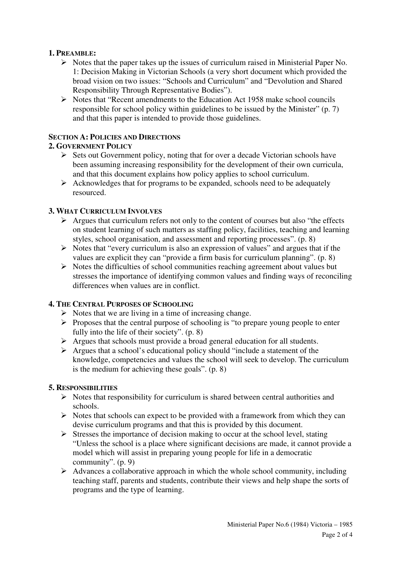# **1. PREAMBLE:**

- $\triangleright$  Notes that the paper takes up the issues of curriculum raised in Ministerial Paper No. 1: Decision Making in Victorian Schools (a very short document which provided the broad vision on two issues: "Schools and Curriculum" and "Devolution and Shared Responsibility Through Representative Bodies").
- Notes that "Recent amendments to the Education Act 1958 make school councils responsible for school policy within guidelines to be issued by the Minister" (p. 7) and that this paper is intended to provide those guidelines.

## **SECTION A: POLICIES AND DIRECTIONS**

# **2. GOVERNMENT POLICY**

- $\triangleright$  Sets out Government policy, noting that for over a decade Victorian schools have been assuming increasing responsibility for the development of their own curricula, and that this document explains how policy applies to school curriculum.
- $\triangleright$  Acknowledges that for programs to be expanded, schools need to be adequately resourced.

# **3. WHAT CURRICULUM INVOLVES**

- $\triangleright$  Argues that curriculum refers not only to the content of courses but also "the effects" on student learning of such matters as staffing policy, facilities, teaching and learning styles, school organisation, and assessment and reporting processes". (p. 8)
- $\triangleright$  Notes that "every curriculum is also an expression of values" and argues that if the values are explicit they can "provide a firm basis for curriculum planning". (p. 8)
- $\triangleright$  Notes the difficulties of school communities reaching agreement about values but stresses the importance of identifying common values and finding ways of reconciling differences when values are in conflict.

## **4. THE CENTRAL PURPOSES OF SCHOOLING**

- $\triangleright$  Notes that we are living in a time of increasing change.
- $\triangleright$  Proposes that the central purpose of schooling is "to prepare young people to enter fully into the life of their society". (p. 8)
- Argues that schools must provide a broad general education for all students.
- $\triangleright$  Argues that a school's educational policy should "include a statement of the knowledge, competencies and values the school will seek to develop. The curriculum is the medium for achieving these goals". (p. 8)

## **5. RESPONSIBILITIES**

- $\triangleright$  Notes that responsibility for curriculum is shared between central authorities and schools.
- $\triangleright$  Notes that schools can expect to be provided with a framework from which they can devise curriculum programs and that this is provided by this document.
- $\triangleright$  Stresses the importance of decision making to occur at the school level, stating "Unless the school is a place where significant decisions are made, it cannot provide a model which will assist in preparing young people for life in a democratic community". (p. 9)
- $\triangleright$  Advances a collaborative approach in which the whole school community, including teaching staff, parents and students, contribute their views and help shape the sorts of programs and the type of learning.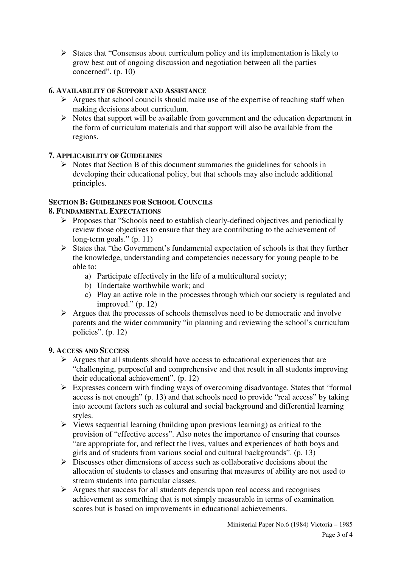$\triangleright$  States that "Consensus about curriculum policy and its implementation is likely to grow best out of ongoing discussion and negotiation between all the parties concerned". (p. 10)

# **6. AVAILABILITY OF SUPPORT AND ASSISTANCE**

- $\triangleright$  Argues that school councils should make use of the expertise of teaching staff when making decisions about curriculum.
- $\triangleright$  Notes that support will be available from government and the education department in the form of curriculum materials and that support will also be available from the regions.

# **7. APPLICABILITY OF GUIDELINES**

 $\triangleright$  Notes that Section B of this document summaries the guidelines for schools in developing their educational policy, but that schools may also include additional principles.

# **SECTION B: GUIDELINES FOR SCHOOL COUNCILS**

## **8. FUNDAMENTAL EXPECTATIONS**

- $\triangleright$  Proposes that "Schools need to establish clearly-defined objectives and periodically review those objectives to ensure that they are contributing to the achievement of long-term goals." (p. 11)
- $\triangleright$  States that "the Government's fundamental expectation of schools is that they further the knowledge, understanding and competencies necessary for young people to be able to:
	- a) Participate effectively in the life of a multicultural society;
	- b) Undertake worthwhile work; and
	- c) Play an active role in the processes through which our society is regulated and improved." (p. 12)
- $\triangleright$  Argues that the processes of schools themselves need to be democratic and involve parents and the wider community "in planning and reviewing the school's curriculum policies". (p. 12)

## **9. ACCESS AND SUCCESS**

- $\triangleright$  Argues that all students should have access to educational experiences that are "challenging, purposeful and comprehensive and that result in all students improving their educational achievement". (p. 12)
- Expresses concern with finding ways of overcoming disadvantage. States that "formal access is not enough" (p. 13) and that schools need to provide "real access" by taking into account factors such as cultural and social background and differential learning styles.
- $\triangleright$  Views sequential learning (building upon previous learning) as critical to the provision of "effective access". Also notes the importance of ensuring that courses "are appropriate for, and reflect the lives, values and experiences of both boys and girls and of students from various social and cultural backgrounds". (p. 13)
- $\triangleright$  Discusses other dimensions of access such as collaborative decisions about the allocation of students to classes and ensuring that measures of ability are not used to stream students into particular classes.
- $\triangleright$  Argues that success for all students depends upon real access and recognises achievement as something that is not simply measurable in terms of examination scores but is based on improvements in educational achievements.